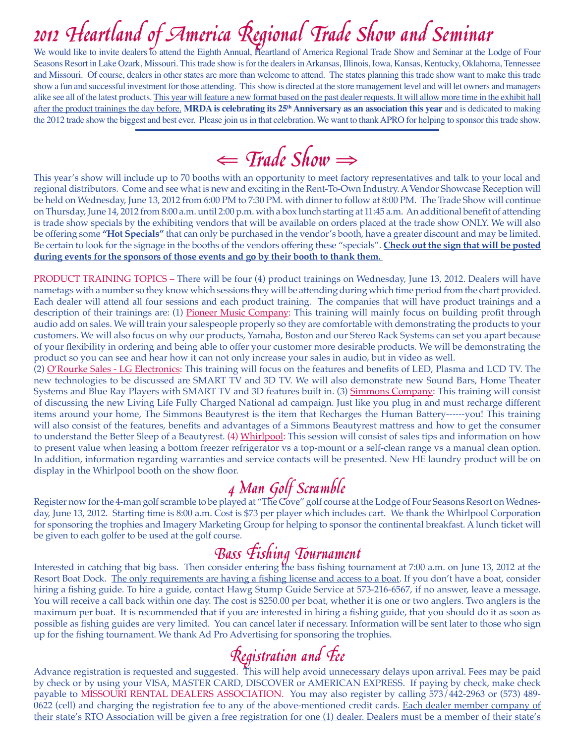We would like to invite dealers to attend the Eighth Annual, Heartland of America Regional Trade Show and Seminar at the Lodge of Four Seasons Resort in Lake Ozark, Missouri. This trade show is for the dealers in Arkansas, Illinois, Iowa, Kansas, Kentucky, Oklahoma, Tennessee and Missouri. Of course, dealers in other states are more than welcome to attend. The states planning this trade show want to make this trade show a fun and successful investment for those attending. This show is directed at the store management level and will let owners and managers alike see all of the latest products. This year will feature a new format based on the past dealer requests. It will allow more time in the exhibit hall after the product trainings the day before. **MRDA is celebrating its 25th Anniversary as an association this year** and is dedicated to making the 2012 trade show the biggest and best ever. Please join us in that celebration. We want to thank APRO for helping to sponsor this trade show.

# ⇐ Trade Show<sup>⇒</sup>

This year's show will include up to 70 booths with an opportunity to meet factory representatives and talk to your local and regional distributors. Come and see what is new and exciting in the Rent-To-Own Industry. A Vendor Showcase Reception will be held on Wednesday, June 13, 2012 from 6:00 PM to 7:30 PM. with dinner to follow at 8:00 PM. The Trade Show will continue on Thursday, June 14, 2012 from 8:00 a.m. until 2:00 p.m. with a box lunch starting at 11:45 a.m. An additional benefit of attending is trade show specials by the exhibiting vendors that will be available on orders placed at the trade show ONLY. We will also be offering some **"Hot Specials"** that can only be purchased in the vendor's booth, have a greater discount and may be limited. Be certain to look for the signage in the booths of the vendors offering these "specials". **Check out the sign that will be posted during events for the sponsors of those events and go by their booth to thank them.** 

PRODUCT TRAINING TOPICS – There will be four (4) product trainings on Wednesday, June 13, 2012. Dealers will have nametags with a number so they know which sessions they will be attending during which time period from the chart provided. Each dealer will attend all four sessions and each product training. The companies that will have product trainings and a description of their trainings are: (1) Pioneer Music Company: This training will mainly focus on building profit through audio add on sales. We will train your salespeople properly so they are comfortable with demonstrating the products to your customers. We will also focus on why our products, Yamaha, Boston and our Stereo Rack Systems can set you apart because of your flexibility in ordering and being able to offer your customer more desirable products. We will be demonstrating the product so you can see and hear how it can not only increase your sales in audio, but in video as well.

(2) O'Rourke Sales - LG Electronics: This training will focus on the features and benefits of LED, Plasma and LCD TV. The new technologies to be discussed are SMART TV and 3D TV. We will also demonstrate new Sound Bars, Home Theater Systems and Blue Ray Players with SMART TV and 3D features built in. (3) Simmons Company: This training will consist of discussing the new Living Life Fully Charged National ad campaign. Just like you plug in and must recharge different items around your home, The Simmons Beautyrest is the item that Recharges the Human Battery------you! This training will also consist of the features, benefits and advantages of a Simmons Beautyrest mattress and how to get the consumer to understand the Better Sleep of a Beautyrest. (4) Whirlpool: This session will consist of sales tips and information on how to present value when leasing a bottom freezer refrigerator vs a top-mount or a self-clean range vs a manual clean option. In addition, information regarding warranties and service contacts will be presented. New HE laundry product will be on display in the Whirlpool booth on the show floor.

 $4$  Man Golf Scramble<br>Register now for the 4-man golf scramble to be played at "The Cove" golf course at the Lodge of Four Seasons Resort on Wednesday, June 13, 2012. Starting time is 8:00 a.m. Cost is \$73 per player which includes cart. We thank the Whirlpool Corporation for sponsoring the trophies and Imagery Marketing Group for helping to sponsor the continental breakfast. A lunch ticket will be given to each golfer to be used at the golf course.

**Bass Fishing Tournament**<br>Interested in catching that big bass. Then consider entering the bass fishing tournament at 7:00 a.m. on June 13, 2012 at the Resort Boat Dock. The only requirements are having a fishing license and access to a boat. If you don't have a boat, consider hiring a fishing guide. To hire a guide, contact Hawg Stump Guide Service at 573-216-6567, if no answer, leave a message. You will receive a call back within one day. The cost is \$250.00 per boat, whether it is one or two anglers. Two anglers is the maximum per boat. It is recommended that if you are interested in hiring a fishing guide, that you should do it as soon as possible as fishing guides are very limited. You can cancel later if necessary. Information will be sent later to those who sign up for the fishing tournament. We thank Ad Pro Advertising for sponsoring the trophies.

 $\mathcal{R}$ egistration and  $\mathcal{F}$ ee<br>Advance registration is requested and suggested. This will help avoid unnecessary delays upon arrival. Fees may be paid by check or by using your VISA, MASTER CARD, DISCOVER or AMERICAN EXPRESS. If paying by check, make check payable to MISSOURI RENTAL DEALERS ASSOCIATION. You may also register by calling 573/442-2963 or (573) 489- 0622 (cell) and charging the registration fee to any of the above-mentioned credit cards. Each dealer member company of their state's RTO Association will be given a free registration for one (1) dealer. Dealers must be a member of their state's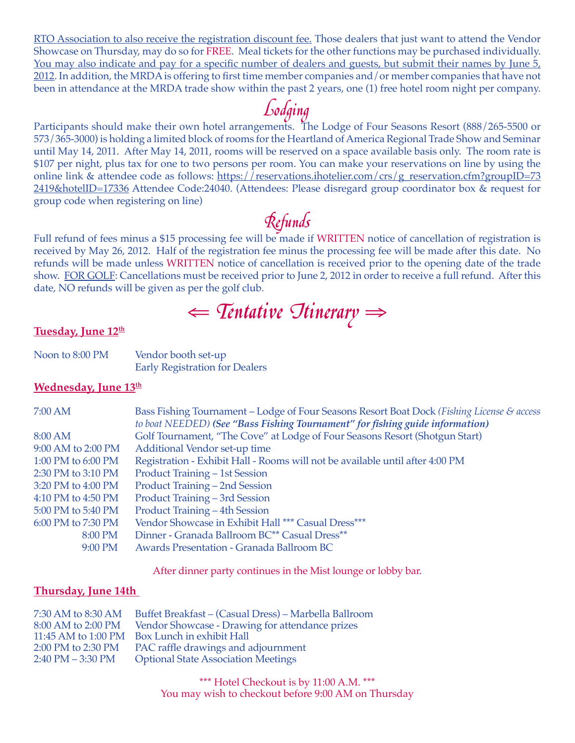RTO Association to also receive the registration discount fee. Those dealers that just want to attend the Vendor Showcase on Thursday, may do so for FREE. Meal tickets for the other functions may be purchased individually. You may also indicate and pay for a specific number of dealers and guests, but submit their names by June 5, 2012. In addition, the MRDA is offering to first time member companies and/or member companies that have not been in attendance at the MRDA trade show within the past 2 years, one (1) free hotel room night per company.

Lodging<br>Participants should make their own hotel arrangements. The Lodge of Four Seasons Resort (888/265-5500 or 573/365-3000) is holding a limited block of rooms for the Heartland of America Regional Trade Show and Seminar until May 14, 2011. After May 14, 2011, rooms will be reserved on a space available basis only. The room rate is \$107 per night, plus tax for one to two persons per room. You can make your reservations on line by using the online link & attendee code as follows: https://reservations.ihotelier.com/crs/g\_reservation.cfm?groupID=73 2419&hotelID=17336 Attendee Code:24040. (Attendees: Please disregard group coordinator box & request for group code when registering on line)

Full refund of fees minus a \$15 processing fee will be made if WRITTEN notice of cancellation of registration is received by May 26, 2012. Half of the registration fee minus the processing fee will be made after this date. No refunds will be made unless WRITTEN notice of cancellation is received prior to the opening date of the trade show. FOR GOLF: Cancellations must be received prior to June 2, 2012 in order to receive a full refund. After this date, NO refunds will be given as per the golf club.

⇐ Tentative Itinerary<sup>⇒</sup>

## Tuesday, June 12<sup>th</sup>

| Noon to 8:00 PM | Vendor booth set-up                   |
|-----------------|---------------------------------------|
|                 | <b>Early Registration for Dealers</b> |

### Wednesday, June 13<sup>th</sup>

| 7:00 AM            | Bass Fishing Tournament – Lodge of Four Seasons Resort Boat Dock (Fishing License & access<br>to boat NEEDED) (See "Bass Fishing Tournament" for fishing guide information) |
|--------------------|-----------------------------------------------------------------------------------------------------------------------------------------------------------------------------|
| 8:00 AM            | Golf Tournament, "The Cove" at Lodge of Four Seasons Resort (Shotgun Start)                                                                                                 |
| 9:00 AM to 2:00 PM | Additional Vendor set-up time                                                                                                                                               |
| 1:00 PM to 6:00 PM | Registration - Exhibit Hall - Rooms will not be available until after 4:00 PM                                                                                               |
| 2:30 PM to 3:10 PM | <b>Product Training – 1st Session</b>                                                                                                                                       |
| 3:20 PM to 4:00 PM | Product Training - 2nd Session                                                                                                                                              |
| 4:10 PM to 4:50 PM | Product Training - 3rd Session                                                                                                                                              |
| 5:00 PM to 5:40 PM | Product Training - 4th Session                                                                                                                                              |
| 6:00 PM to 7:30 PM | Vendor Showcase in Exhibit Hall *** Casual Dress***                                                                                                                         |
| 8:00 PM            | Dinner - Granada Ballroom BC** Casual Dress**                                                                                                                               |
| $9:00$ PM          | Awards Presentation - Granada Ballroom BC                                                                                                                                   |

After dinner party continues in the Mist lounge or lobby bar.

## **Thursday, June 14th**

| 7:30 AM to 8:30 AM                  | Buffet Breakfast – (Casual Dress) – Marbella Ballroom |
|-------------------------------------|-------------------------------------------------------|
| 8:00 AM to 2:00 PM                  | Vendor Showcase - Drawing for attendance prizes       |
| 11:45 AM to 1:00 PM                 | Box Lunch in exhibit Hall                             |
| 2:00 PM to 2:30 PM                  | PAC raffle drawings and adjournment                   |
| $2:40 \text{ PM} - 3:30 \text{ PM}$ | <b>Optional State Association Meetings</b>            |

\*\*\* Hotel Checkout is by 11:00 A.M. \*\*\* You may wish to checkout before 9:00 AM on Thursday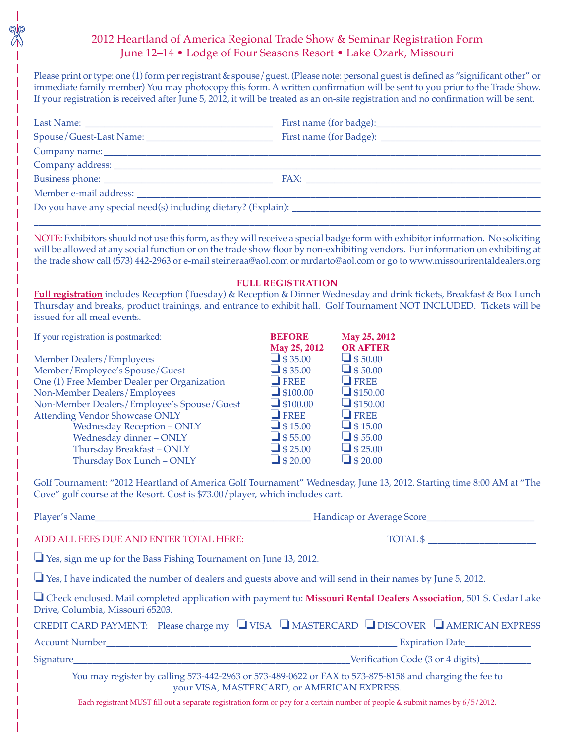## 2012 Heartland of America Regional Trade Show & Seminar Registration Form June 12–14 • Lodge of Four Seasons Resort • Lake Ozark, Missouri

Please print or type: one (1) form per registrant & spouse/guest. (Please note: personal guest is defined as "significant other" or immediate family member) You may photocopy this form. A written confirmation will be sent to you prior to the Trade Show. If your registration is received after June 5, 2012, it will be treated as an on-site registration and no confirmation will be sent.

| NOTE: Exhibitors should not use this form, as they will receive a special badge form with exhibitor information. No soliciting<br>will be allowed at any social function or on the trade show floor by non-exhibiting vendors. For information on exhibiting at<br>the trade show call (573) 442-2963 or e-mail steineraa@aol.com or mrdarto@aol.com or go to www.missourirentaldealers.org |                                   |                                                                                |
|---------------------------------------------------------------------------------------------------------------------------------------------------------------------------------------------------------------------------------------------------------------------------------------------------------------------------------------------------------------------------------------------|-----------------------------------|--------------------------------------------------------------------------------|
| Full registration includes Reception (Tuesday) & Reception & Dinner Wednesday and drink tickets, Breakfast & Box Lunch<br>Thursday and breaks, product trainings, and entrance to exhibit hall. Golf Tournament NOT INCLUDED. Tickets will be<br>issued for all meal events.                                                                                                                | <b>FULL REGISTRATION</b>          |                                                                                |
| If your registration is postmarked:                                                                                                                                                                                                                                                                                                                                                         | <b>BEFORE</b>                     | May 25, 2012                                                                   |
|                                                                                                                                                                                                                                                                                                                                                                                             | May 25, 2012                      | <b>OR AFTER</b>                                                                |
| <b>Member Dealers/Employees</b><br>Member/Employee's Spouse/Guest                                                                                                                                                                                                                                                                                                                           | $\Box$ \$35.00<br>$\Box$ \$35.00  | $\Box$ \$50.00<br>$\Box$ \$50.00                                               |
| One (1) Free Member Dealer per Organization                                                                                                                                                                                                                                                                                                                                                 | $\Box$ FREE                       | $\blacksquare$ FREE                                                            |
| Non-Member Dealers/Employees                                                                                                                                                                                                                                                                                                                                                                | $\Box$ \$100.00                   | $\Box$ \$150.00                                                                |
| Non-Member Dealers/Employee's Spouse/Guest                                                                                                                                                                                                                                                                                                                                                  | $\Box$ \$100.00                   | $\Box$ \$150.00                                                                |
| <b>Attending Vendor Showcase ONLY</b>                                                                                                                                                                                                                                                                                                                                                       | $\Box$ FREE                       | $\Box$ FREE                                                                    |
| <b>Wednesday Reception - ONLY</b>                                                                                                                                                                                                                                                                                                                                                           | $\Box$ \$15.00<br>$\Box$ \$ 55.00 | $\Box$ \$15.00<br>$\Box$ \$55.00                                               |
| Wednesday dinner - ONLY<br>Thursday Breakfast-ONLY                                                                                                                                                                                                                                                                                                                                          | $\bigcup$ \$ 25.00                | $\Box$ \$ 25.00                                                                |
| Thursday Box Lunch - ONLY                                                                                                                                                                                                                                                                                                                                                                   | $\Box$ \$ 20.00                   | $\Box$ \$ 20.00                                                                |
| Golf Tournament: "2012 Heartland of America Golf Tournament" Wednesday, June 13, 2012. Starting time 8:00 AM at "The<br>Cove" golf course at the Resort. Cost is \$73.00/player, which includes cart.                                                                                                                                                                                       |                                   |                                                                                |
| Mandicap or Average Score<br>Player's Name                                                                                                                                                                                                                                                                                                                                                  |                                   |                                                                                |
| ADD ALL FEES DUE AND ENTER TOTAL HERE:                                                                                                                                                                                                                                                                                                                                                      |                                   | $\begin{tabular}{c} \bf TOTAL $$\color{red}${\displaystyle\sum} \end{tabular}$ |
| $\Box$ Yes, sign me up for the Bass Fishing Tournament on June 13, 2012.                                                                                                                                                                                                                                                                                                                    |                                   |                                                                                |
| □ Yes, I have indicated the number of dealers and guests above and will send in their names by June 5, 2012.                                                                                                                                                                                                                                                                                |                                   |                                                                                |
| □ Check enclosed. Mail completed application with payment to: Missouri Rental Dealers Association, 501 S. Cedar Lake<br>Drive, Columbia, Missouri 65203.                                                                                                                                                                                                                                    |                                   |                                                                                |
| CREDIT CARD PAYMENT: Please charge my UVISA UMASTERCARD UDISCOVER UAMERICAN EXPRESS                                                                                                                                                                                                                                                                                                         |                                   |                                                                                |
|                                                                                                                                                                                                                                                                                                                                                                                             |                                   |                                                                                |
|                                                                                                                                                                                                                                                                                                                                                                                             |                                   |                                                                                |
| You may register by calling 573-442-2963 or 573-489-0622 or FAX to 573-875-8158 and charging the fee to<br>your VISA, MASTERCARD, or AMERICAN EXPRESS.                                                                                                                                                                                                                                      |                                   |                                                                                |

Each registrant MUST fill out a separate registration form or pay for a certain number of people & submit names by 6/5/2012.